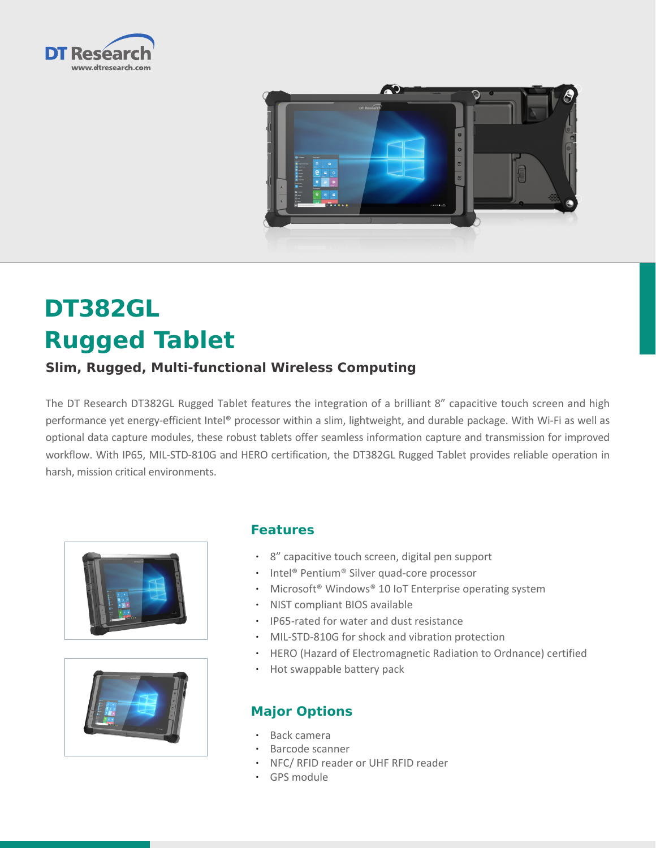



# **DT382GL Rugged Tablet**

# **Slim, Rugged, Multi-functional Wireless Computing**

The DT Research DT382GL Rugged Tablet features the integration of a brilliant 8" capacitive touch screen and high performance yet energy-efficient Intel® processor within a slim, lightweight, and durable package. With Wi-Fi as well as optional data capture modules, these robust tablets offer seamless information capture and transmission for improved workflow. With IP65, MIL-STD-810G and HERO certification, the DT382GL Rugged Tablet provides reliable operation in harsh, mission critical environments.





### **Features**

- • 8" capacitive touch screen, digital pen support
- Intel® Pentium® Silver quad-core processor
- Microsoft® Windows® 10 IoT Enterprise operating system
- • NIST compliant BIOS available
- • IP65-rated for water and dust resistance
- MIL-STD-810G for shock and vibration protection
- • HERO (Hazard of Electromagnetic Radiation to Ordnance) certified
- Hot swappable battery pack

# **Major Options**

- Back camera
- Barcode scanner
- • NFC/ RFID reader or UHF RFID reader
- • GPS module